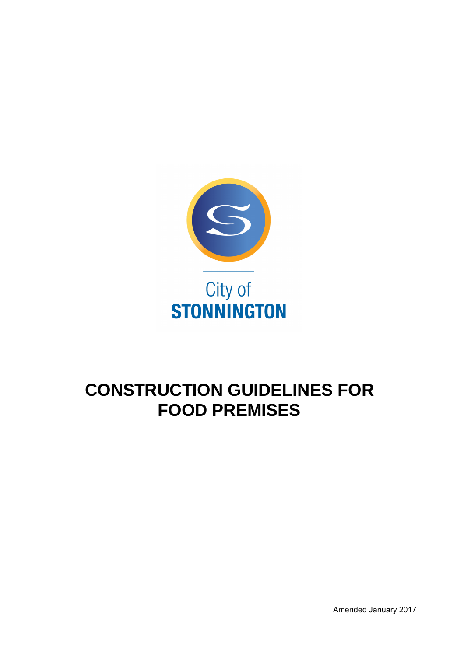

# **CONSTRUCTION GUIDELINES FOR FOOD PREMISES**

Amended January 2017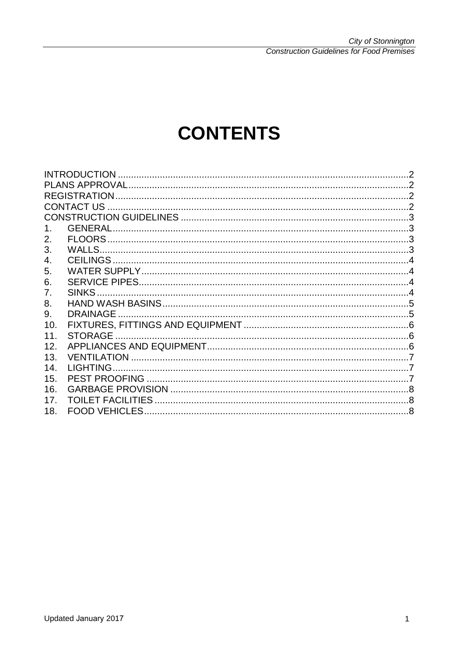City of Stonnington<br>Construction Guidelines for Food Premises

# **CONTENTS**

| 1.              | <b>GENERAL</b>           |  |
|-----------------|--------------------------|--|
| 2.              |                          |  |
| 3.              |                          |  |
| 4.              |                          |  |
| 5.              |                          |  |
| 6.              |                          |  |
| 7.              |                          |  |
| 8.              |                          |  |
| 9.              | <b>DRAINAGE</b>          |  |
| 10.             |                          |  |
| 11.             |                          |  |
| 12.             |                          |  |
| 13.             |                          |  |
| 14 <sub>1</sub> |                          |  |
| 15.             |                          |  |
| 16.             |                          |  |
| 17.             | <b>TOILET FACILITIES</b> |  |
| 18.             |                          |  |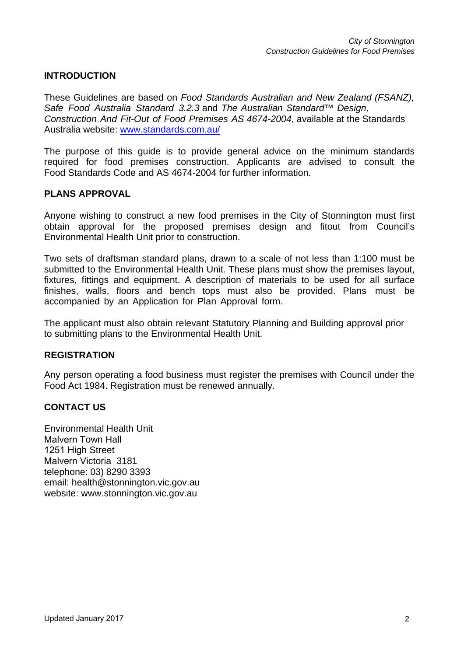#### **INTRODUCTION**

These Guidelines are based on Food Standards Australian and New Zealand (FSANZ), Safe Food Australia Standard 3.2.3 and The Australian Standard™ Design. Construction And Fit-Out of Food Premises AS 4674-2004, available at the Standards Australia website: www.standards.com.au/

The purpose of this guide is to provide general advice on the minimum standards required for food premises construction. Applicants are advised to consult the Food Standards Code and AS 4674-2004 for further information.

#### **PLANS APPROVAL**

Anyone wishing to construct a new food premises in the City of Stonnington must first obtain approval for the proposed premises design and fitout from Council's Environmental Health Unit prior to construction.

Two sets of draftsman standard plans, drawn to a scale of not less than 1:100 must be submitted to the Environmental Health Unit. These plans must show the premises layout, fixtures, fittings and equipment. A description of materials to be used for all surface finishes, walls, floors and bench tops must also be provided. Plans must be accompanied by an Application for Plan Approval form.

The applicant must also obtain relevant Statutory Planning and Building approval prior to submitting plans to the Environmental Health Unit.

#### **REGISTRATION**

Any person operating a food business must register the premises with Council under the Food Act 1984. Registration must be renewed annually.

#### **CONTACT US**

Environmental Health Unit Malvern Town Hall 1251 High Street Malvern Victoria 3181 telephone: 03) 8290 3393 email: health@stonnington.vic.gov.au website: www.stonnington.vic.gov.au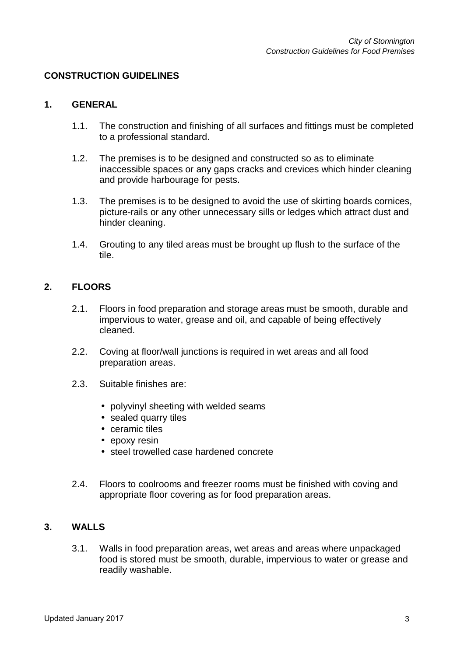#### **CONSTRUCTION GUIDELINES**

#### **1. GENERAL**

- 1.1. The construction and finishing of all surfaces and fittings must be completed to a professional standard.
- 1.2. The premises is to be designed and constructed so as to eliminate inaccessible spaces or any gaps cracks and crevices which hinder cleaning and provide harbourage for pests.
- 1.3. The premises is to be designed to avoid the use of skirting boards cornices, picture-rails or any other unnecessary sills or ledges which attract dust and hinder cleaning.
- 1.4. Grouting to any tiled areas must be brought up flush to the surface of the tile.

#### **2. FLOORS**

- 2.1. Floors in food preparation and storage areas must be smooth, durable and impervious to water, grease and oil, and capable of being effectively cleaned.
- 2.2. Coving at floor/wall junctions is required in wet areas and all food preparation areas.
- 2.3. Suitable finishes are:
	- polyvinyl sheeting with welded seams
	- sealed quarry tiles
	- ceramic tiles
	- epoxy resin
	- steel trowelled case hardened concrete
- 2.4. Floors to coolrooms and freezer rooms must be finished with coving and appropriate floor covering as for food preparation areas.

# **3. WALLS**

3.1. Walls in food preparation areas, wet areas and areas where unpackaged food is stored must be smooth, durable, impervious to water or grease and readily washable.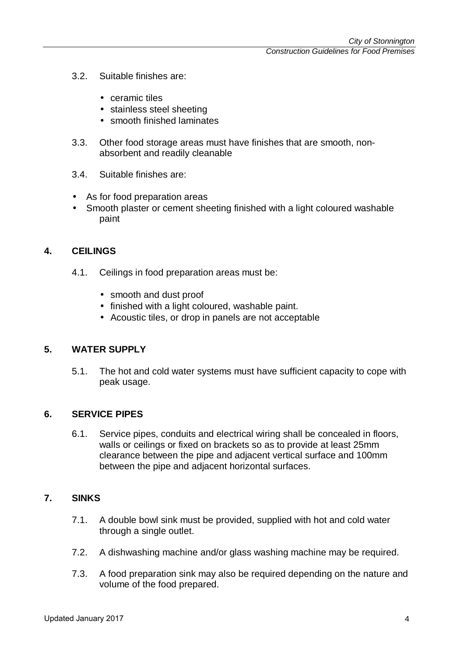- 3.2. Suitable finishes are:
	- ceramic tiles
	- stainless steel sheeting
	- smooth finished laminates
- 3.3. Other food storage areas must have finishes that are smooth, nonabsorbent and readily cleanable
- 3.4. Suitable finishes are:
- As for food preparation areas
- Smooth plaster or cement sheeting finished with a light coloured washable paint

#### **4. CEILINGS**

- 4.1. Ceilings in food preparation areas must be:
	- smooth and dust proof
	- finished with a light coloured, washable paint.
	- Acoustic tiles, or drop in panels are not acceptable

#### **5. WATER SUPPLY**

5.1. The hot and cold water systems must have sufficient capacity to cope with peak usage.

#### **6. SERVICE PIPES**

6.1. Service pipes, conduits and electrical wiring shall be concealed in floors, walls or ceilings or fixed on brackets so as to provide at least 25mm clearance between the pipe and adjacent vertical surface and 100mm between the pipe and adjacent horizontal surfaces.

#### **7. SINKS**

- 7.1. A double bowl sink must be provided, supplied with hot and cold water through a single outlet.
- 7.2. A dishwashing machine and/or glass washing machine may be required.
- 7.3. A food preparation sink may also be required depending on the nature and volume of the food prepared.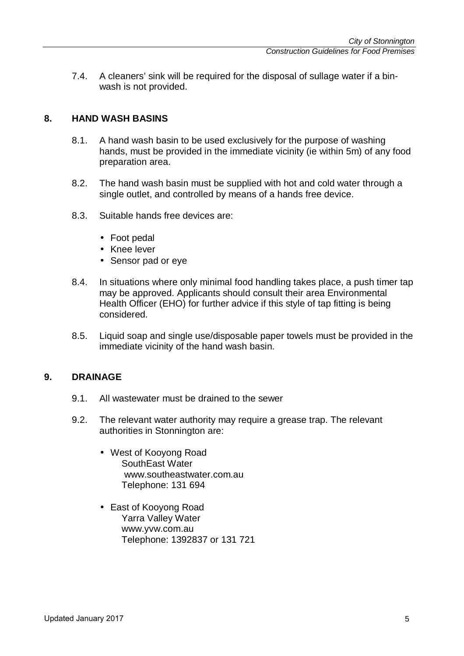7.4. A cleaners' sink will be required for the disposal of sullage water if a binwash is not provided.

# **8. HAND WASH BASINS**

- 8.1. A hand wash basin to be used exclusively for the purpose of washing hands, must be provided in the immediate vicinity (ie within 5m) of any food preparation area.
- 8.2. The hand wash basin must be supplied with hot and cold water through a single outlet, and controlled by means of a hands free device.
- 8.3. Suitable hands free devices are:
	- Foot pedal
	- Knee lever
	- Sensor pad or eye
- 8.4. In situations where only minimal food handling takes place, a push timer tap may be approved. Applicants should consult their area Environmental Health Officer (EHO) for further advice if this style of tap fitting is being considered.
- 8.5. Liquid soap and single use/disposable paper towels must be provided in the immediate vicinity of the hand wash basin.

#### **9. DRAINAGE**

- 9.1. All wastewater must be drained to the sewer
- 9.2. The relevant water authority may require a grease trap. The relevant authorities in Stonnington are:
	- West of Kooyong Road SouthEast Water www.southeastwater.com.au Telephone: 131 694
	- East of Kooyong Road Yarra Valley Water www.yvw.com.au Telephone: 1392837 or 131 721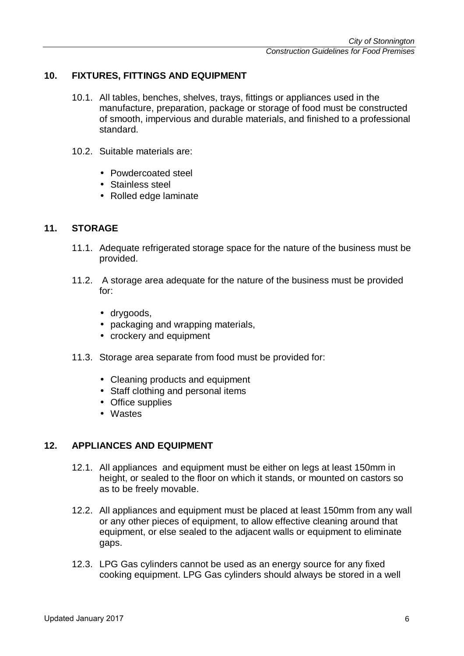# **10. FIXTURES, FITTINGS AND EQUIPMENT**

- 10.1. All tables, benches, shelves, trays, fittings or appliances used in the manufacture, preparation, package or storage of food must be constructed of smooth, impervious and durable materials, and finished to a professional standard.
- 10.2. Suitable materials are:
	- Powdercoated steel
	- Stainless steel
	- Rolled edge laminate

#### **11. STORAGE**

- 11.1. Adequate refrigerated storage space for the nature of the business must be provided.
- 11.2. A storage area adequate for the nature of the business must be provided for:
	- drygoods,
	- packaging and wrapping materials,
	- crockery and equipment
- 11.3. Storage area separate from food must be provided for:
	- Cleaning products and equipment
	- Staff clothing and personal items
	- Office supplies
	- Wastes

#### **12. APPLIANCES AND EQUIPMENT**

- 12.1. All appliances and equipment must be either on legs at least 150mm in height, or sealed to the floor on which it stands, or mounted on castors so as to be freely movable.
- 12.2. All appliances and equipment must be placed at least 150mm from any wall or any other pieces of equipment, to allow effective cleaning around that equipment, or else sealed to the adjacent walls or equipment to eliminate gaps.
- 12.3. LPG Gas cylinders cannot be used as an energy source for any fixed cooking equipment. LPG Gas cylinders should always be stored in a well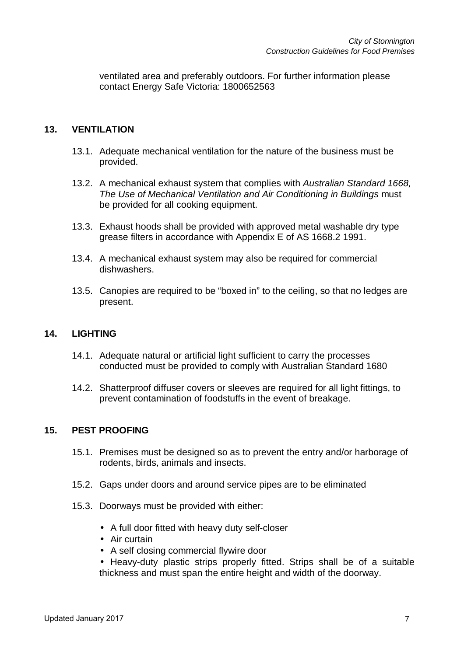ventilated area and preferably outdoors. For further information please contact Energy Safe Victoria: 1800652563

# **13. VENTILATION**

- 13.1. Adequate mechanical ventilation for the nature of the business must be provided.
- 13.2. A mechanical exhaust system that complies with Australian Standard 1668. The Use of Mechanical Ventilation and Air Conditioning in Buildings must be provided for all cooking equipment.
- 13.3. Exhaust hoods shall be provided with approved metal washable dry type grease filters in accordance with Appendix E of AS 1668.2 1991.
- 13.4. A mechanical exhaust system may also be required for commercial dishwashers.
- 13.5. Canopies are required to be "boxed in" to the ceiling, so that no ledges are present.

#### **14. LIGHTING**

- 14.1. Adequate natural or artificial light sufficient to carry the processes conducted must be provided to comply with Australian Standard 1680
- 14.2. Shatterproof diffuser covers or sleeves are required for all light fittings, to prevent contamination of foodstuffs in the event of breakage.

#### **15. PEST PROOFING**

- 15.1. Premises must be designed so as to prevent the entry and/or harborage of rodents, birds, animals and insects.
- 15.2. Gaps under doors and around service pipes are to be eliminated
- 15.3. Doorways must be provided with either:
	- A full door fitted with heavy duty self-closer
	- Air curtain
	- A self closing commercial flywire door
	- Heavy-duty plastic strips properly fitted. Strips shall be of a suitable thickness and must span the entire height and width of the doorway.